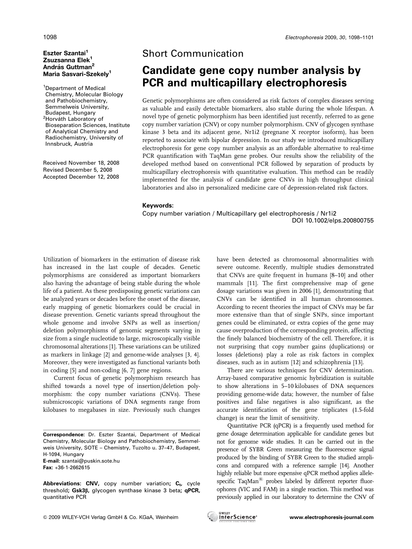### Eszter Szantai<sup>1</sup> Zsuzsanna Elek<sup>1</sup> András Guttman<sup>2</sup> Maria Sasvari-Szekely<sup>1</sup>

1 Department of Medical Chemistry, Molecular Biology and Pathobiochemistry, Semmelweis University, Budapest, Hungary <sup>2</sup>Horváth Laboratory of Bioseparation Sciences, Institute of Analytical Chemistry and Radiochemistry, University of Innsbruck, Austria

Received November 18, 2008 Revised December 5, 2008 Accepted December 12, 2008

## Short Communication

# **Candidate gene copy number analysis by PCR and multicapillary electrophoresis**

Genetic polymorphisms are often considered as risk factors of complex diseases serving as valuable and easily detectable biomarkers, also stable during the whole lifespan. A novel type of genetic polymorphism has been identified just recently, referred to as gene copy number variation (CNV) or copy number polymorphism. CNV of glycogen synthase kinase 3 beta and its adjacent gene, Nr1i2 (pregnane X receptor isoform), has been reported to associate with bipolar depression. In our study we introduced multicapillary electrophoresis for gene copy number analysis as an affordable alternative to real-time PCR quantification with TaqMan gene probes. Our results show the reliability of the developed method based on conventional PCR followed by separation of products by multicapillary electrophoresis with quantitative evaluation. This method can be readily implemented for the analysis of candidate gene CNVs in high throughput clinical laboratories and also in personalized medicine care of depression-related risk factors.

#### **Keywords:**

Copy number variation / Multicapillary gel electrophoresis / Nr1i2 DOI 10.1002/elps.200800755

Utilization of biomarkers in the estimation of disease risk has increased in the last couple of decades. Genetic polymorphisms are considered as important biomarkers also having the advantage of being stable during the whole life of a patient. As these predisposing genetic variations can be analyzed years or decades before the onset of the disease, early mapping of genetic biomarkers could be crucial in disease prevention. Genetic variants spread throughout the whole genome and involve SNPs as well as insertion/ deletion polymorphisms of genomic segments varying in size from a single nucleotide to large, microscopically visible chromosomal alterations [1]. These variations can be utilized as markers in linkage [2] and genome-wide analyses [3, 4]. Moreover, they were investigated as functional variants both in coding [5] and non-coding [6, 7] gene regions.

Current focus of genetic polymorphism research has shifted towards a novel type of insertion/deletion polymorphism: the copy number variations (CNVs). These submicroscopic variations of DNA segments range from kilobases to megabases in size. Previously such changes

**E-mail:** szantai@puskin.sote.hu **Fax:** +36-1-2662615

Abbreviations: CNV, copy number variation; C<sub>t</sub>, cycle threshold**; Gsk3**b**,** glycogen synthase kinase 3 beta**; qPCR,** quantitative PCR

have been detected as chromosomal abnormalities with severe outcome. Recently, multiple studies demonstrated that CNVs are quite frequent in humans [8–10] and other mammals [11]. The first comprehensive map of gene dosage variations was given in 2006 [1], demonstrating that CNVs can be identified in all human chromosomes. According to recent theories the impact of CNVs may be far more extensive than that of single SNPs, since important genes could be eliminated, or extra copies of the gene may cause overproduction of the corresponding protein, affecting the finely balanced biochemistry of the cell. Therefore, it is not surprising that copy number gains (duplications) or losses (deletions) play a role as risk factors in complex diseases, such as in autism [12] and schizophrenia [13].

There are various techniques for CNV determination. Array-based comparative genomic hybridization is suitable to show alterations in 5–10 kilobases of DNA sequences providing genome-wide data; however, the number of false positives and false negatives is also significant, as the accurate identification of the gene triplicates (1.5-fold change) is near the limit of sensitivity.

Quantitative PCR (qPCR) is a frequently used method for gene dosage determination applicable for candidate genes but not for genome wide studies. It can be carried out in the presence of SYBR Green measuring the fluorescence signal produced by the binding of SYBR Green to the studied amplicons and compared with a reference sample [14]. Another highly reliable but more expensive qPCR method applies allelespecific  $TaqMan^{\text{\tiny(R)}}$  probes labeled by different reporter fluorophores (VIC and FAM) in a single reaction. This method was previously applied in our laboratory to determine the CNV of



**Correspondence:** Dr. Eszter Szantai, Department of Medical Chemistry, Molecular Biology and Pathobiochemistry, Semmelweis University, SOTE – Chemistry, Tuzolto u. 37–47, Budapest, H-1094, Hungary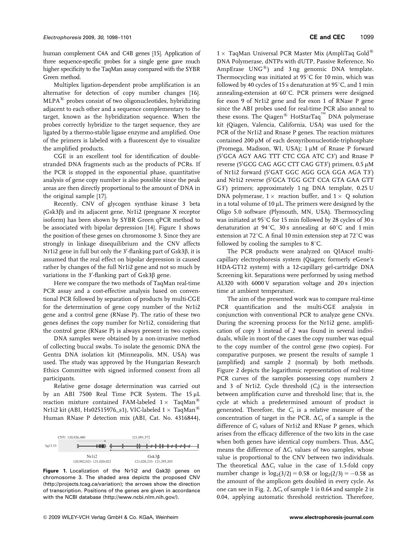human complement C4A and C4B genes [15]. Application of three sequence-specific probes for a single gene gave much higher specificity to the TaqMan assay compared with the SYBR Green method.

Multiplex ligation-dependent probe amplification is an alternative for detection of copy number changes [16].  $MLPA^{\circledR}$  probes consist of two oligonucleotides, hybridizing adjacent to each other and a sequence complementary to the target, known as the hybridization sequence. When the probes correctly hybridize to the target sequence, they are ligated by a thermo-stable ligase enzyme and amplified. One of the primers is labeled with a fluorescent dye to visualize the amplified products.

CGE is an excellent tool for identification of doublestranded DNA fragments such as the products of PCRs. If the PCR is stopped in the exponential phase, quantitative analysis of gene copy number is also possible since the peak areas are then directly proportional to the amount of DNA in the original sample [17].

Recently, CNV of glycogen synthase kinase 3 beta (Gsk3b) and its adjacent gene, Nr1i2 (pregnane X receptor isoform) has been shown by SYBR Green qPCR method to be associated with bipolar depression [14]. Figure 1 shows the position of these genes on chromosome 3. Since they are strongly in linkage disequilibrium and the CNV affects Nr1i2 gene in full but only the 3'-flanking part of Gsk3 $\beta$ , it is assumed that the real effect on bipolar depression is caused rather by changes of the full Nr1i2 gene and not so much by variations in the 3'-flanking part of  $Gsk3\beta$  gene.

Here we compare the two methods of TaqMan real-time PCR assay and a cost-effective analysis based on conventional PCR followed by separation of products by multi-CGE for the determination of gene copy number of the Nr1i2 gene and a control gene (RNase P). The ratio of these two genes defines the copy number for Nr1i2, considering that the control gene (RNase P) is always present in two copies.

DNA samples were obtained by a non-invasive method of collecting buccal swabs. To isolate the genomic DNA the Gentra DNA isolation kit (Minneapolis, MN, USA) was used. The study was approved by the Hungarian Research Ethics Committee with signed informed consent from all participants.

Relative gene dosage determination was carried out by an ABI 7500 Real Time PCR System. The 15 µL reaction mixture contained FAM-labeled  $1 \times$  TaqMan<sup>®</sup> Nr1i2 kit (ABI, Hs02515976\_s1), VIC-labeled 1  $\times$  TaqMan $^{\circledR}$ Human RNase P detection mix (ABI, Cat. No. 4316844),



Figure 1. Localization of the Nr1i2 and Gsk3ß genes on chromosome 3. The shaded area depicts the proposed CNV (http://projects.tcag.ca/variation); the arrows show the direction of transcription. Positions of the genes are given in accordance with the NCBI database (http://www.ncbi.nlm.nih.gov/).

 $1 \times$  TaqMan Universal PCR Master Mix (AmpliTaq Gold<sup>®</sup> DNA Polymerase, dNTPs with dUTP, Passive Reference, No AmpErase  $UNG^{(8)}$  and 3 ng genomic DNA template. Thermocycling was initiated at  $95^{\circ}$ C for 10 min, which was followed by 40 cycles of 15 s denaturation at  $95^{\circ}$ C, and 1 min annealing-extension at  $60^{\circ}$ C. PCR primers were designed for exon 9 of Nr1i2 gene and for exon 1 of RNase P gene since the ABI probes used for real-time PCR also anneal to these exons. The Qiagen<sup>®</sup> HotStarTaq<sup>™</sup> DNA polymerase kit (Qiagen, Valencia, California, USA) was used for the PCR of the Nr1i2 and Rnase P genes. The reaction mixtures contained 200  $\mu$ M of each deoxyribonucleotide-triphosphate (Promega, Madison, WI, USA);  $1 \mu M$  of Rnase P forward (5'GCA AGY AAG TTT CTC CGA ATC C3') and Rnase P reverse (5'GCG CAG AGC CTT CAG GT3') primers, 0.5 µM of Nr1i2 forward (5'GAT GGC AGG GCA GGA AGA T3') and Nr1i2 reverse (5'GCA TGG GCT CCA GTA GAA GTT G3') primers; approximately 1 ng DNA template, 0.25 U DNA polymerase,  $1 \times$  reaction buffer, and  $1 \times$  Q solution in a total volume of  $10 \mu L$ . The primers were designed by the Oligo 5.0 software (Plymouth, MN, USA). Thermocycling was initiated at  $95^{\circ}$ C for 15 min followed by 28 cycles of 30 s denaturation at  $94^{\circ}$ C, 30 s annealing at 60 $^{\circ}$ C and 1 min extension at 72 $\degree$ C. A final 10 min extension step at 72 $\degree$ C was followed by cooling the samples to  $8^{\circ}$ C.

The PCR products were analyzed on QIAxcel multicapillary electrophoresis system (Qiagen; formerly eGene's HDA-GT12 system) with a 12-capillary gel-cartridge DNA Screening kit. Separations were performed by using method AL320 with 6000 V separation voltage and 20 s injection time at ambient temperature.

The aim of the presented work was to compare real-time PCR quantification and the multi-CGE analysis in conjunction with conventional PCR to analyze gene CNVs. During the screening process for the Nr1i2 gene, amplification of copy 3 instead of 2 was found in several individuals, while in most of the cases the copy number was equal to the copy number of the control gene (two copies). For comparative purposes, we present the results of sample 1 (amplified) and sample 2 (normal) by both methods. Figure 2 depicts the logarithmic representation of real-time PCR curves of the samples possessing copy numbers 2 and 3 of Nr1i2. Cycle threshold  $(C_t)$  is the intersection between amplification curve and threshold line; that is, the cycle at which a predetermined amount of product is generated. Therefore, the  $C_t$  is a relative measure of the concentration of target in the PCR.  $\Delta C_t$  of a sample is the difference of  $C_t$  values of Nr1i2 and RNase P genes, which arises from the efficacy difference of the two kits in the case when both genes have identical copy numbers. Thus,  $\Delta \Delta C_t$ means the difference of  $\Delta C_t$  values of two samples, whose value is proportional to the CNV between two individuals. The theoretical  $\Delta \Delta C_t$  value in the case of 1.5-fold copy number change is  $log_2(3/2) = 0.58$  or  $log_2(2/3) = -0.58$  as the amount of the amplicon gets doubled in every cycle. As one can see in Fig. 2,  $\Delta C_t$  of sample 1 is 0.64 and sample 2 is 0.04, applying automatic threshold restriction. Therefore,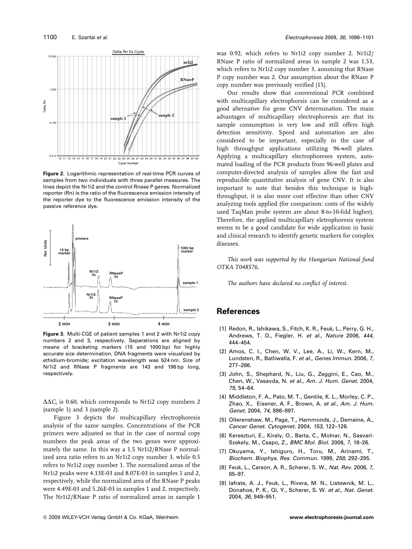

**Figure 2.** Logarithmic representation of real-time PCR curves of samples from two individuals with three parallel measures. The lines depict the Nr1i2 and the control Rnase P genes. Normalized reporter (Rn) is the ratio of the fluorescence emission intensity of the reporter dye to the fluorescence emission intensity of the passive reference dye.



**Figure 3.** Multi-CGE of patient samples 1 and 2 with Nr1i2 copy numbers 2 and 3, respectively. Separations are aligned by means of bracketing markers (15 and 1000 bp) for highly accurate size determination. DNA fragments were visualized by ethidium-bromide; excitation wavelength was 524 nm. Size of Nr1i2 and RNase P fragments are 143 and 196 bp long, respectively.

 $\Delta\Delta C_t$  is 0.60, which corresponds to Nr1i2 copy numbers 2 (sample 1) and 3 (sample 2).

Figure 3 depicts the multicapillary electrophoresis analysis of the same samples. Concentrations of the PCR primers were adjusted so that in the case of normal copy numbers the peak areas of the two genes were approximately the same. In this way a 1.5 Nr1i2/RNase P normalized area ratio refers to an Nr1i2 copy number 3, while 0.5 refers to Nr1i2 copy number 1. The normalized areas of the Nr1i2 peaks were 4.13E-03 and 8.07E-03 in samples 1 and 2, respectively, while the normalized area of the RNase P peaks were 4.49E-03 and 5.26E-03 in samples 1 and 2, respectively. The Nr1i2/RNase P ratio of normalized areas in sample 1

was 0.92, which refers to Nr1i2 copy number 2. Nr1i2/ RNase P ratio of normalized areas in sample 2 was 1.53, which refers to Nr1i2 copy number 3, assuming that RNase P copy number was 2. Our assumption about the RNase P copy number was previously verified [15].

Our results show that conventional PCR combined with multicapillary electrophorsis can be considered as a good alternative for gene CNV determination. The main advantages of multicapillary electrophoresis are that its sample consumption is very low and still offers high detection sensitivity. Speed and automation are also considered to be important, especially in the case of high throughput applications utilizing 96-well plates. Applying a multicapillary electrophoreses system, automated loading of the PCR products from 96-well plates and computer-directed analysis of samples allow the fast and reproducible quantitative analysis of gene CNV. It is also important to note that besides this technique is highthroughput, it is also more cost effective than other CNV analyzing tools applied (for comparison: costs of the widely used TaqMan probe system are about 8-to-10-fold higher). Therefore, the applied multicapillary eletrophoresis system seems to be a good candidate for wide application in basic and clinical research to identify genetic markers for complex diseases.

This work was supported by the Hungarian National fund OTKA T048576.

The authors have declared no conflict of interest.

### **References**

- [1] Redon, R., Ishikawa, S., Fitch, K. R., Feuk, L., Perry, G. H., Andrews, T. D., Fiegler, H. *et al.*, *Nature* 2006, *444*, 444–454.
- [2] Amos, C. I., Chen, W. V., Lee, A., Li, W., Kern, M., Lundsten, R., Batliwalla, F. *et al.*, *Genes Immun.* 2006, *7*, 277–286.
- [3] John, S., Shephard, N., Liu, G., Zeggini, E., Cao, M., Chen, W., Vasavda, N. *et al.*, *Am. J. Hum. Genet.* 2004, *75*, 54–64.
- [4] Middleton, F. A., Pato, M. T., Gentile, K. L., Morley, C. P., Zhao, X., Eisener, A. F., Brown, A. *et al.*, *Am. J. Hum. Genet.* 2004, *74*, 886–897.
- [5] Ollerenshaw, M., Page, T., Hammonds, J., Demaine, A., *Cancer Genet. Cytogenet.* 2004, *153*, 122–126.
- [6] Kereszturi, E., Kiraly, O., Barta, C., Molnar, N., Sasvari-Szekely, M., Csapo, Z., *BMC Mol. Biol.* 2006, *7*, 18–26.
- [7] Okuyama, Y., Ishiguro, H., Toru, M., Arinami, T., *Biochem. Biophys. Res. Commun.* 1999, *258*, 292–295.
- [8] Feuk, L., Carson, A. R., Scherer, S. W., *Nat. Rev.* 2006, *7*, 85–97.
- [9] Iafrate, A. J., Feuk, L., Rivera, M. N., Listewnik, M. L., Donahoe, P. K., Qi, Y., Scherer, S. W. *et al.*, *Nat. Genet.* 2004, *36*, 949–951.